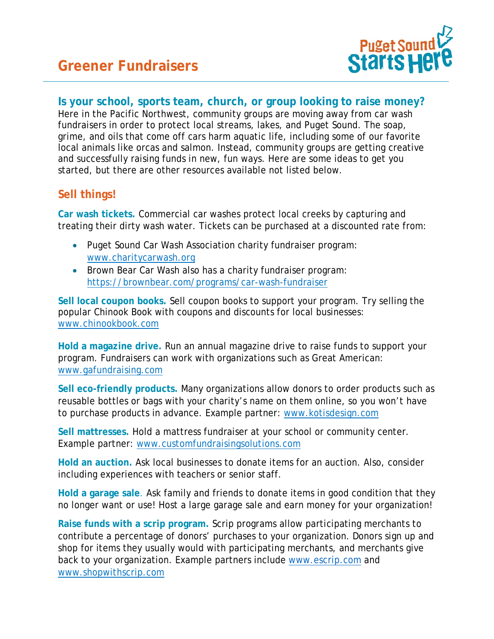

## **Is your school, sports team, church, or group looking to raise money?**

Here in the Pacific Northwest, community groups are moving away from car wash fundraisers in order to protect local streams, lakes, and Puget Sound. The soap, grime, and oils that come off cars harm aquatic life, including some of our favorite local animals like orcas and salmon. Instead, community groups are getting creative and successfully raising funds in new, fun ways. Here are some ideas to get you started, but there are other resources available not listed below.

## **Sell things!**

**Car wash tickets.** Commercial car washes protect local creeks by capturing and treating their dirty wash water. Tickets can be purchased at a discounted rate from:

- Puget Sound Car Wash Association charity fundraiser program: [www.charitycarwash.org](http://www.charitycarwash.org/)
- Brown Bear Car Wash also has a charity fundraiser program: <https://brownbear.com/programs/car-wash-fundraiser>

**Sell local coupon books.** Sell coupon books to support your program. Try selling the popular Chinook Book with coupons and discounts for local businesses: [www.chinookbook.com](http://www.chinookbook.com/)

**Hold a magazine drive.** Run an annual magazine drive to raise funds to support your program. Fundraisers can work with organizations such as Great American: [www.gafundraising.com](http://www.gafundraising.com/)

**Sell eco-friendly products.** Many organizations allow donors to order products such as reusable bottles or bags with your charity's name on them online, so you won't have to purchase products in advance. Example partner: [www.kotisdesign.com](http://www.kotisdesign.com/) 

**Sell mattresses.** Hold a mattress fundraiser at your school or community center. Example partner: www.customfundraisingsolutions.com

**Hold an auction.** Ask local businesses to donate items for an auction. Also, consider including experiences with teachers or senior staff.

**Hold a garage sale**. Ask family and friends to donate items in good condition that they no longer want or use! Host a large garage sale and earn money for your organization!

**Raise funds with a scrip program.** Scrip programs allow participating merchants to contribute a percentage of donors' purchases to your organization. Donors sign up and shop for items they usually would with participating merchants, and merchants give back to your organization. Example partners include [www.escrip.com](http://www.escrip.com/) and [www.shopwithscrip.com](http://www.shopwithscrip.com/)